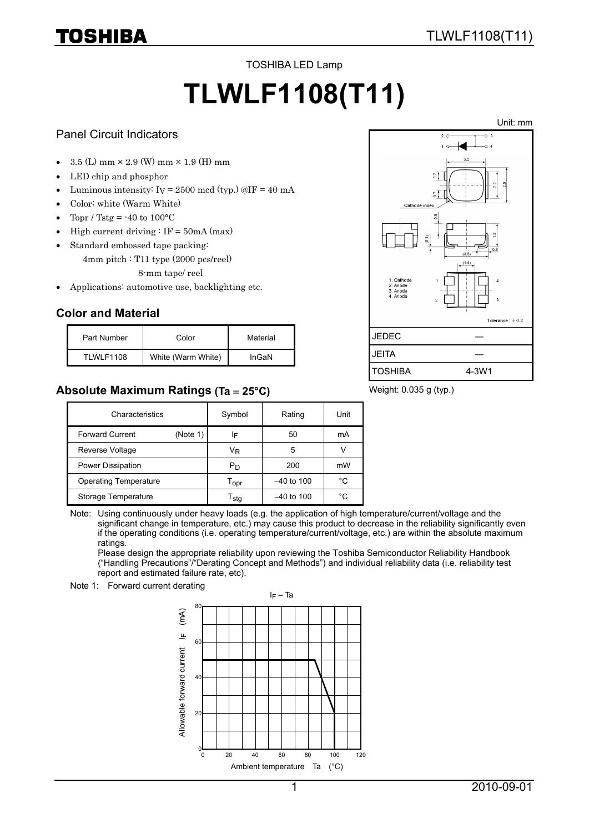#### TOSHIBA LED Lamp

# **TLWLF1108(T11)**

#### Panel Circuit Indicators

TOSHIBA

- $3.5$  (L) mm  $\times$  2.9 (W) mm  $\times$  1.9 (H) mm
- LED chip and phosphor
- Luminous intensity:  $I_V = 2500 \text{ mod (typ.)} \textcircled{aIF} = 40 \text{ mA}$
- Color: white (Warm White)
- Topr / Tstg =  $-40$  to  $100^{\circ}$ C
- High current driving  $\colon$  IF = 50mA (max)
- Standard embossed tape packing:
	- 4mm pitch : T11 type (2000 pcs/reel) 8-mm tape/ reel
- Applications: automotive use, backlighting etc.

## **Color and Material**

| Part Number | Color              | Material |
|-------------|--------------------|----------|
| TLWLF1108   | White (Warm White) | InGaN    |

## **Absolute Maximum Ratings (Ta** = **25°C)**



#### Weight: 0.035 g (typ.)

| Characteristics              |          | Symbol                | Rating       | Unit |
|------------------------------|----------|-----------------------|--------------|------|
| <b>Forward Current</b>       | (Note 1) | IF                    | 50           | mA   |
| Reverse Voltage              |          | VŖ                    | 5            |      |
| Power Dissipation            |          | P <sub>D</sub>        | 200          | mW   |
| <b>Operating Temperature</b> |          | l opr                 | $-40$ to 100 | °C   |
| Storage Temperature          |          | $\Gamma_{\text{stq}}$ | $-40$ to 100 | °C   |

Note: Using continuously under heavy loads (e.g. the application of high temperature/current/voltage and the significant change in temperature, etc.) may cause this product to decrease in the reliability significantly even if the operating conditions (i.e. operating temperature/current/voltage, etc.) are within the absolute maximum ratings.

Please design the appropriate reliability upon reviewing the Toshiba Semiconductor Reliability Handbook ("Handling Precautions"/"Derating Concept and Methods") and individual reliability data (i.e. reliability test report and estimated failure rate, etc).

Note 1: Forward current derating



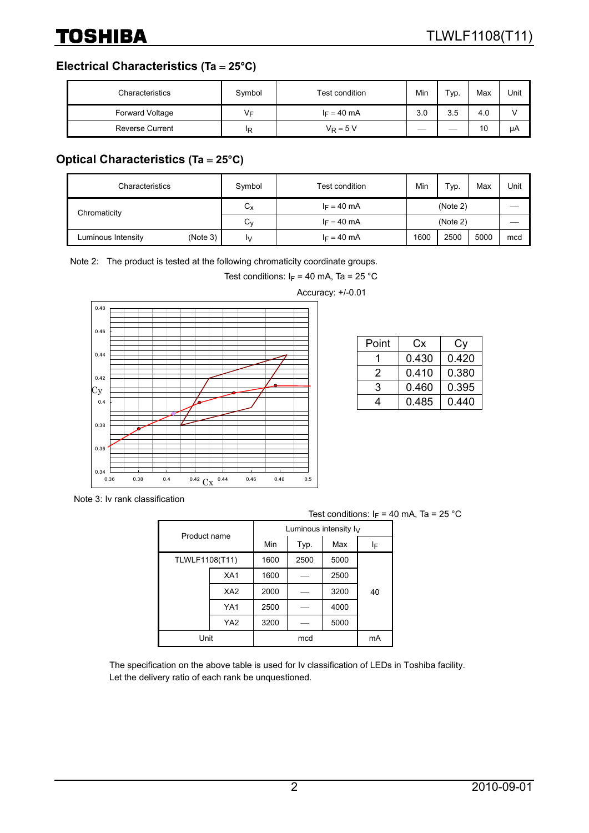**Electrical Characteristics (Ta** = **25°C)**

| Characteristics        | Symbol | Test condition | Min | т <sub>ур.</sub> | Max | Unit |
|------------------------|--------|----------------|-----|------------------|-----|------|
| Forward Voltage        | V⊧     | $I_F = 40$ mA  | 3.0 | 3.5              | 4.0 |      |
| <b>Reverse Current</b> | ΙR     | $V_R = 5 V$    |     |                  | 10  | μA   |

# **Optical Characteristics (Ta** = **25°C)**

| Characteristics    |          | Symbol  | Test condition | Min      | Typ. | Max  | Unit |
|--------------------|----------|---------|----------------|----------|------|------|------|
| Chromaticity       |          | ⌒<br>Uχ | $I_F = 40$ mA  | (Note 2) |      |      |      |
|                    |          | ⌒<br>Uν | $I_F = 40$ mA  | (Note 2) |      |      |      |
| Luminous Intensity | (Note 3) | I٧      | $I_F = 40$ mA  | 1600     | 2500 | 5000 | mcd  |

Note 2: The product is tested at the following chromaticity coordinate groups.

Test conditions:  $I_F = 40$  mA, Ta = 25 °C



| Point | Cx    | Cv    |
|-------|-------|-------|
|       | 0.430 | 0.420 |
| 2     | 0.410 | 0.380 |
| 3     | 0.460 | 0.395 |
|       | 0.485 | 0.440 |

Note 3: Iv rank classification

|                |                 |                          |      | <b>IGOL CONGITIONS</b> |    |  |
|----------------|-----------------|--------------------------|------|------------------------|----|--|
| Product name   |                 | Luminous intensity $I_V$ |      |                        |    |  |
|                |                 | Min                      | Typ. | Max                    | ΙF |  |
| TLWLF1108(T11) |                 | 1600                     | 2500 | 5000                   |    |  |
|                | XA <sub>1</sub> | 1600                     |      | 2500                   |    |  |
|                | XA <sub>2</sub> | 2000                     |      | 3200                   | 40 |  |
|                | YA1             | 2500                     |      | 4000                   |    |  |
|                | YA <sub>2</sub> | 3200                     |      | 5000                   |    |  |
| Unit           |                 |                          | mcd  |                        | mA |  |

Test conditions:  $I_F = 40$  mA, Ta = 25 °C

The specification on the above table is used for Iv classification of LEDs in Toshiba facility. Let the delivery ratio of each rank be unquestioned.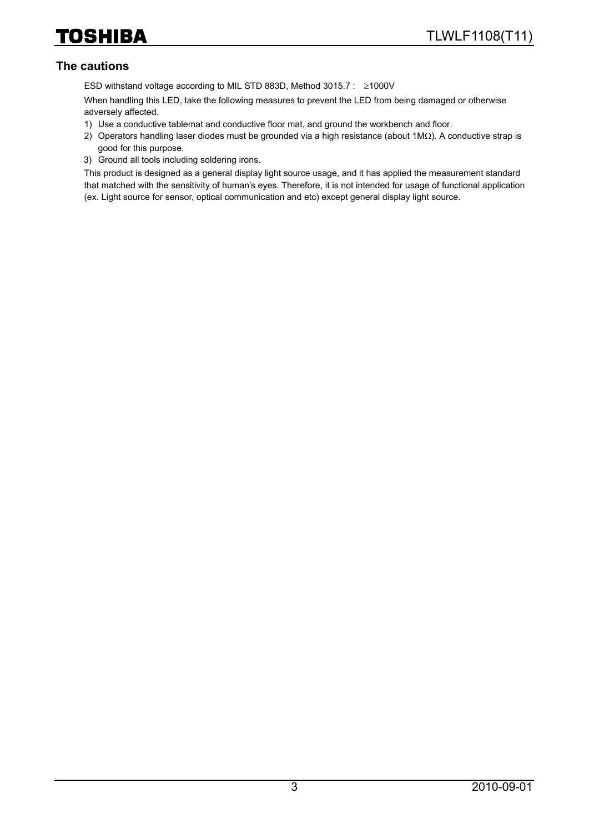#### **The cautions**

ESD withstand voltage according to MIL STD 883D, Method 3015.7 : ≥1000V

When handling this LED, take the following measures to prevent the LED from being damaged or otherwise adversely affected.

- 1) Use a conductive tablemat and conductive floor mat, and ground the workbench and floor.
- 2) Operators handling laser diodes must be grounded via a high resistance (about 1MΩ). A conductive strap is good for this purpose.
- 3) Ground all tools including soldering irons.

This product is designed as a general display light source usage, and it has applied the measurement standard that matched with the sensitivity of human's eyes. Therefore, it is not intended for usage of functional application (ex. Light source for sensor, optical communication and etc) except general display light source.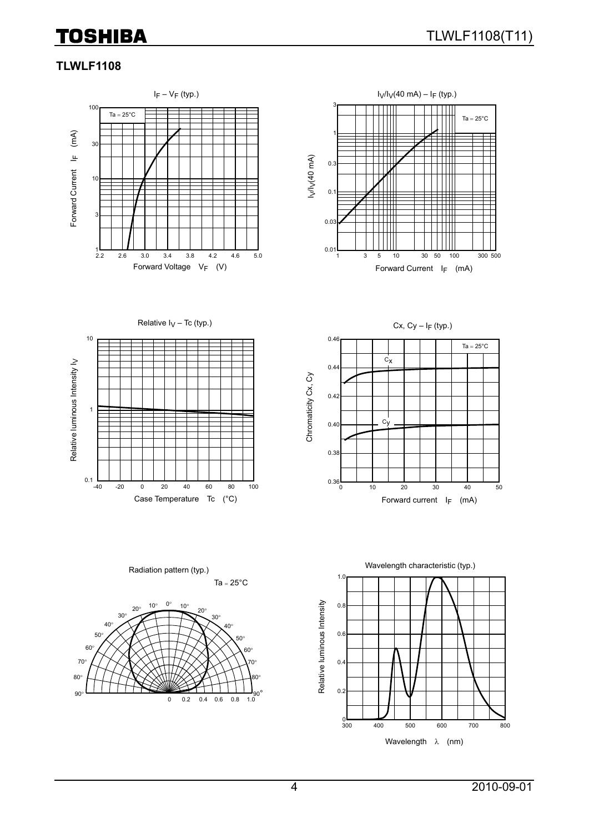# **TOSHIBA**

#### **TLWLF1108**





Relative  $I_V$  – Tc (typ.)



0.46  $Ta = 25^{\circ}C$  $c_{x}$  $0.44$ Chromaticity Cx, Cy Chromaticity Cx, Cy 0.42  $c_{\mathsf{V}}$ 0.40 0.38  $0.36$ 0 10 20 30 40 50 Case Temperature Tc  $(^{\circ}C)$  extended to the Forward current I<sub>F</sub> (mA)

Cx,  $Cy - I_F$  (typ.)



Ta =  $25^{\circ}$ C Radiation pattern (typ.)

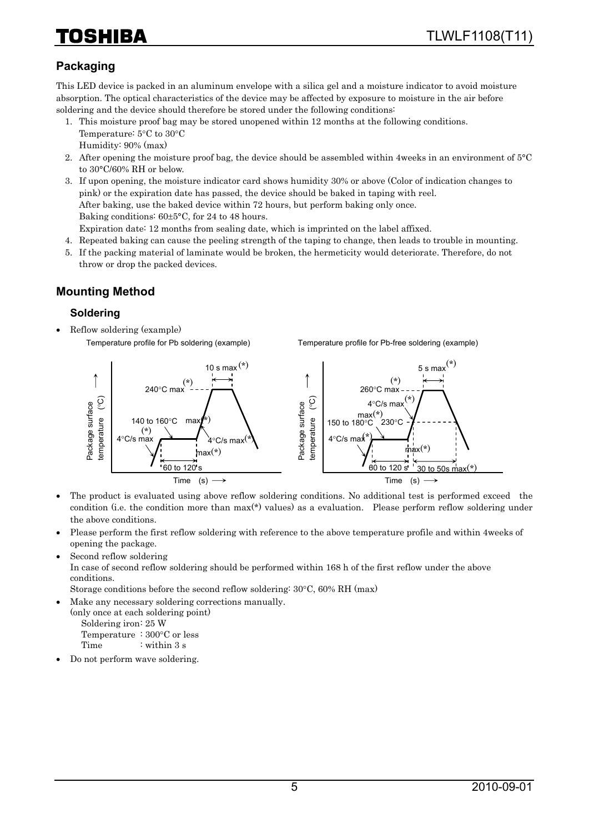# HIBA

# **Packaging**

This LED device is packed in an aluminum envelope with a silica gel and a moisture indicator to avoid moisture absorption. The optical characteristics of the device may be affected by exposure to moisture in the air before soldering and the device should therefore be stored under the following conditions:

- 1. This moisture proof bag may be stored unopened within 12 months at the following conditions. Temperature: 5°C to 30°C Humidity: 90% (max)
- 2. After opening the moisture proof bag, the device should be assembled within 4weeks in an environment of 5°C to 30°C/60% RH or below.
- 3. If upon opening, the moisture indicator card shows humidity 30% or above (Color of indication changes to pink) or the expiration date has passed, the device should be baked in taping with reel. After baking, use the baked device within 72 hours, but perform baking only once. Baking conditions: 60±5°C, for 24 to 48 hours. Expiration date: 12 months from sealing date, which is imprinted on the label affixed.
- 4. Repeated baking can cause the peeling strength of the taping to change, then leads to trouble in mounting.
- 5. If the packing material of laminate would be broken, the hermeticity would deteriorate. Therefore, do not throw or drop the packed devices.

## **Mounting Method**

#### **Soldering**

• Reflow soldering (example) Temperature profile for Pb soldering (example)

Temperature profile for Pb-free soldering (example)



- The product is evaluated using above reflow soldering conditions. No additional test is performed exceed the condition (i.e. the condition more than max(\*) values) as a evaluation. Please perform reflow soldering under the above conditions.
- Please perform the first reflow soldering with reference to the above temperature profile and within 4weeks of opening the package.
- Second reflow soldering

In case of second reflow soldering should be performed within 168 h of the first reflow under the above conditions.

Storage conditions before the second reflow soldering: 30°C, 60% RH (max)

• Make any necessary soldering corrections manually.

(only once at each soldering point) Soldering iron: 25 W Temperature : 300°C or less

Time : within 3 s

• Do not perform wave soldering.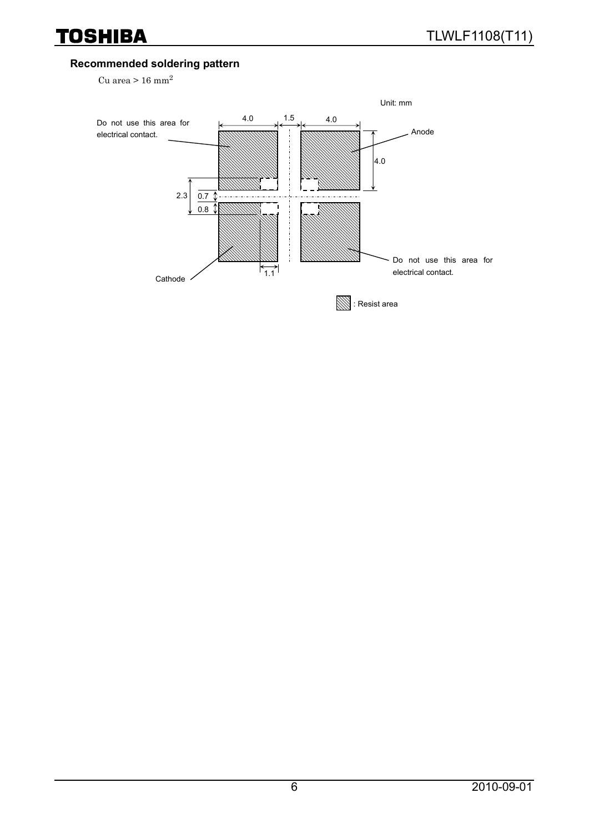### **Recommended soldering pattern**

Cu area  $> 16$  mm<sup>2</sup>

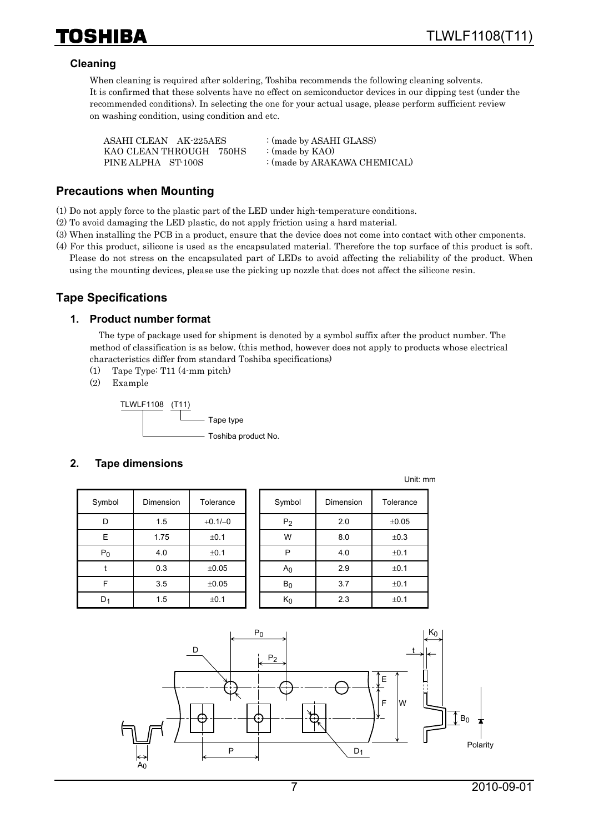#### **Cleaning**

When cleaning is required after soldering, Toshiba recommends the following cleaning solvents. It is confirmed that these solvents have no effect on semiconductor devices in our dipping test (under the recommended conditions). In selecting the one for your actual usage, please perform sufficient review on washing condition, using condition and etc.

| ASAHI CLEAN AK-225AES   | : (made by ASAHI GLASS)      |
|-------------------------|------------------------------|
| KAO CLEAN THROUGH 750HS | : (made by $KAO$ )           |
| PINE ALPHA ST-100S      | : (made by ARAKAWA CHEMICAL) |

#### **Precautions when Mounting**

(1) Do not apply force to the plastic part of the LED under high-temperature conditions.

- (2) To avoid damaging the LED plastic, do not apply friction using a hard material.
- (3) When installing the PCB in a product, ensure that the device does not come into contact with other cmponents.
- (4) For this product, silicone is used as the encapsulated material. Therefore the top surface of this product is soft. Please do not stress on the encapsulated part of LEDs to avoid affecting the reliability of the product. When using the mounting devices, please use the picking up nozzle that does not affect the silicone resin.

#### **Tape Specifications**

#### **1. Product number format**

The type of package used for shipment is denoted by a symbol suffix after the product number. The method of classification is as below. (this method, however does not apply to products whose electrical characteristics differ from standard Toshiba specifications)

- (1) Tape Type: T11 (4-mm pitch)
- (2) Example

TLWLF1108 (T11) Tape type - Toshiba product No.

#### **2. Tape dimensions**

| Symbol | Dimension   | Tolerance  |
|--------|-------------|------------|
| D      | 1.5         | $+0.1/-0$  |
| E      | 1.75        | ±0.1       |
| $P_0$  | 4.0         | $\pm$ 0.1  |
|        | 0.3         | ±0.05      |
| F      | 3.5         | $\pm 0.05$ |
|        | 1.5<br>±0.1 |            |

| Symbol         | Dimension | Tolerance | Symbol         | Dimension | Tolerance |
|----------------|-----------|-----------|----------------|-----------|-----------|
| D              | 1.5       | $+0.1/-0$ | P <sub>2</sub> | 2.0       | ±0.05     |
| E              | 1.75      | ±0.1      | W              | 8.0       | ±0.3      |
| $P_0$          | 4.0       | ±0.1      | P              | 4.0       | ±0.1      |
|                | 0.3       | ±0.05     | A <sub>0</sub> | 2.9       | ±0.1      |
| F              | 3.5       | ±0.05     | $B_0$          | 3.7       | ±0.1      |
| D <sub>1</sub> | 1.5       | ±0.1      | $K_0$          | 2.3       | ±0.1      |

Unit: mm

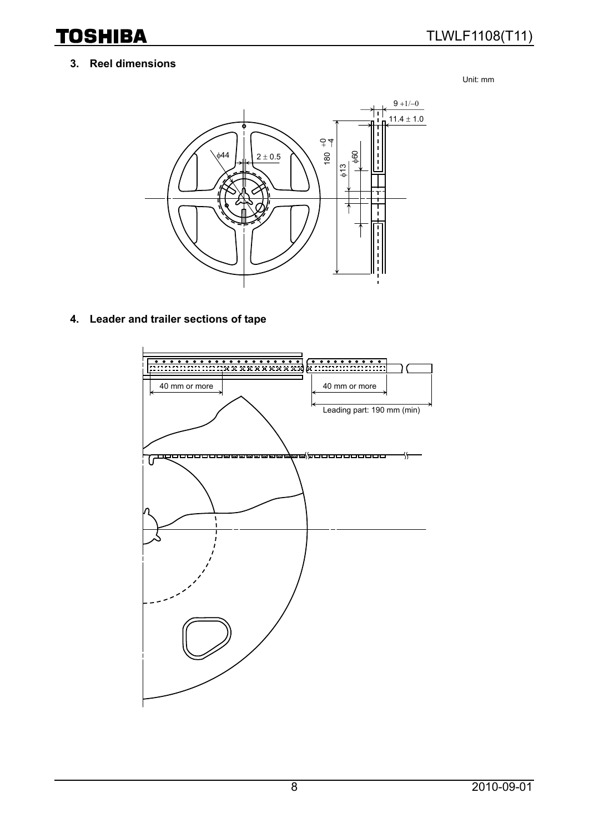**TOSHIBA** 

#### **3. Reel dimensions**

Unit: mm



**4. Leader and trailer sections of tape** 

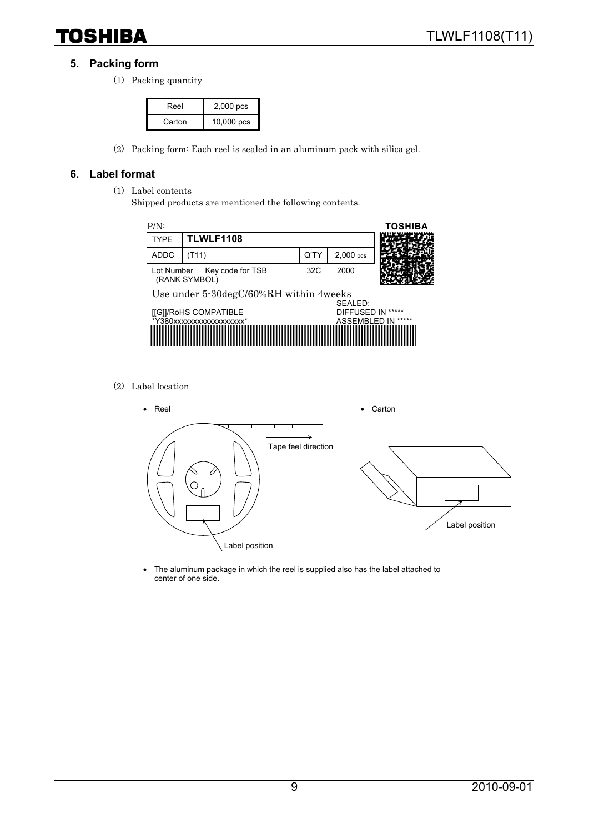# **TOSHIBA**

#### **5. Packing form**

(1) Packing quantity

| Reel   | 2,000 pcs  |
|--------|------------|
| Carton | 10,000 pcs |

(2) Packing form: Each reel is sealed in an aluminum pack with silica gel.

#### **6. Label format**

- (1) Label contents
	- Shipped products are mentioned the following contents.



(2) Label location



• The aluminum package in which the reel is supplied also has the label attached to center of one side.